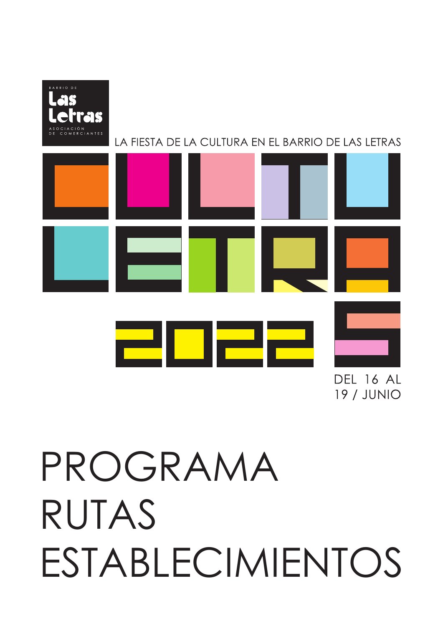



**DFI 16 AI 19 / JUNIO** 

# PROGRAMA RUTAS ESTABLECIMIENTOS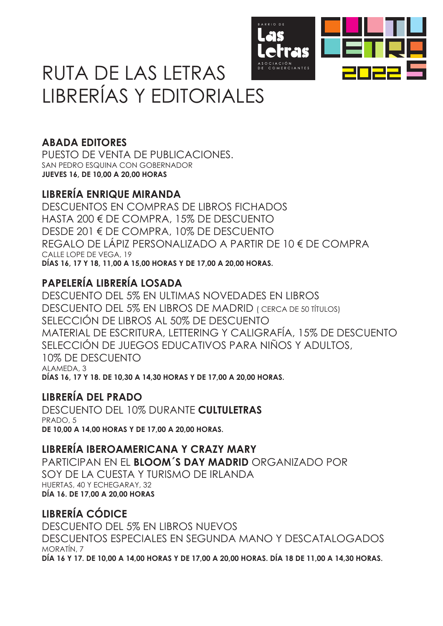

### RUTA DE LAS LETRAS LIBRERÍAS Y EDITORIALES

### **ABADA EDITORES**

PUESTO DE VENTA DE PUBLICACIONES. SAN PEDRO ESQUINA CON GOBERNADOR **JUEVES 16, DE 10,00 A 20,00 HORAS**

#### **LIBRERÍA ENRIQUE MIRANDA**

DESCUENTOS EN COMPRAS DE LIBROS FICHADOS HASTA 200 € DE COMPRA, 15% DE DESCUENTO DESDE 201 € DE COMPRA, 10% DE DESCUENTO REGALO DE LÁPIZ PERSONALIZADO A PARTIR DE 10 € DE COMPRA CALLE LOPE DE VEGA, 19 **DÍAS 16, 17 Y 18, 11,00 A 15,00 HORAS Y DE 17,00 A 20,00 HORAS.**

### **PAPELERÍA LIBRERÍA LOSADA**

DESCUENTO DEL 5% EN ULTIMAS NOVEDADES EN LIBROS DESCUENTO DEL 5% EN LIBROS DE MADRID ( CERCA DE 50 TÍTULOS) SELECCIÓN DE LIBROS AL 50% DE DESCUENTO MATERIAL DE ESCRITURA, LETTERING Y CALIGRAFÍA, 15% DE DESCUENTO SELECCIÓN DE JUEGOS EDUCATIVOS PARA NIÑOS Y ADULTOS, 10% DE DESCUENTO ALAMEDA, 3 **DÍAS 16, 17 Y 18. DE 10,30 A 14,30 HORAS Y DE 17,00 A 20,00 HORAS.**

### **LIBRERÍA DEL PRADO**

DESCUENTO DEL 10% DURANTE **CULTULETRAS** PRADO, 5 **DE 10,00 A 14,00 HORAS Y DE 17,00 A 20,00 HORAS.**

#### **LIBRERÍA IBEROAMERICANA Y CRAZY MARY**

PARTICIPAN EN EL **BLOOM´S DAY MADRID** ORGANIZADO POR SOY DE LA CUESTA Y TURISMO DE IRLANDA HUERTAS, 40 Y ECHEGARAY, 32 **DÍA 16. DE 17,00 A 20,00 HORAS** 

### **LIBRERÍA CÓDICE**

DESCUENTO DEL 5% EN LIBROS NUEVOS DESCUENTOS ESPECIALES EN SEGUNDA MANO Y DESCATALOGADOS MORATÍN, 7 **DÍA 16 Y 17. DE 10,00 A 14,00 HORAS Y DE 17,00 A 20,00 HORAS. DÍA 18 DE 11,00 A 14,30 HORAS.**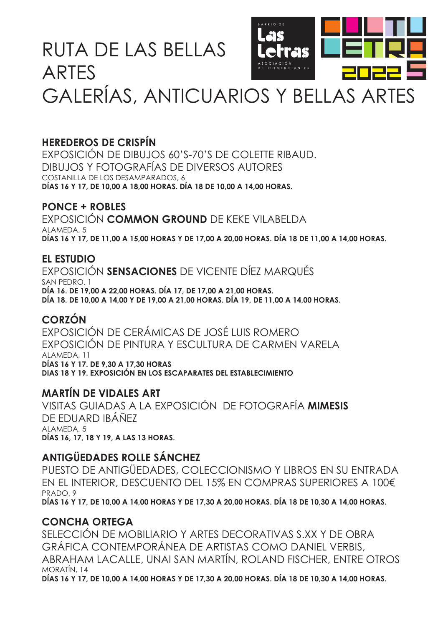### RUTA DE LAS BELLAS ARTES



## GALERÍAS, ANTICUARIOS Y BELLAS ARTES

#### **HEREDEROS DE CRISPÍN**

EXPOSICIÓN DE DIBUJOS 60'S-70'S DE COLETTE RIBAUD. DIBUJOS Y FOTOGRAFÍAS DE DIVERSOS AUTORES COSTANILLA DE LOS DESAMPARADOS, 6 **DÍAS 16 Y 17, DE 10,00 A 18,00 HORAS. DÍA 18 DE 10,00 A 14,00 HORAS.**

#### **PONCE + ROBLES**

EXPOSICIÓN **COMMON GROUND** DE KEKE VILABELDA ALAMEDA, 5 **DÍAS 16 Y 17, DE 11,00 A 15,00 HORAS Y DE 17,00 A 20,00 HORAS. DÍA 18 DE 11,00 A 14,00 HORAS.**

#### **EL ESTUDIO**

EXPOSICIÓN **SENSACIONES** DE VICENTE DÍEZ MARQUÉS SAN PEDRO, 1 **DÍA 16. DE 19,00 A 22,00 HORAS. DÍA 17, DE 17,00 A 21,00 HORAS. DÍA 18. DE 10,00 A 14,00 Y DE 19,00 A 21,00 HORAS. DÍA 19, DE 11,00 A 14,00 HORAS.**

#### **CORZÓN**

EXPOSICIÓN DE CERÁMICAS DE JOSÉ LUIS ROMERO EXPOSICIÓN DE PINTURA Y ESCULTURA DE CARMEN VARELA ALAMEDA, 11 **DÍAS 16 Y 17. DE 9,30 A 17,30 HORAS DIAS 18 Y 19. EXPOSICIÓN EN LOS ESCAPARATES DEL ESTABLECIMIENTO**

#### **MARTÍN DE VIDALES ART**

VISITAS GUIADAS A LA EXPOSICIÓN DE FOTOGRAFÍA **MIMESIS**  DE EDUARD IBÁÑEZ ALAMEDA, 5 **DÍAS 16, 17, 18 Y 19, A LAS 13 HORAS.**

#### **ANTIGÜEDADES ROLLE SÁNCHEZ**

PUESTO DE ANTIGÜEDADES, COLECCIONISMO Y LIBROS EN SU ENTRADA EN EL INTERIOR, DESCUENTO DEL 15% EN COMPRAS SUPERIORES A 100€ PRADO, 9 **DÍAS 16 Y 17, DE 10,00 A 14,00 HORAS Y DE 17,30 A 20,00 HORAS. DÍA 18 DE 10,30 A 14,00 HORAS.**

#### **CONCHA ORTEGA**

SELECCIÓN DE MOBILIARIO Y ARTES DECORATIVAS S.XX Y DE OBRA GRÁFICA CONTEMPORÁNEA DE ARTISTAS COMO DANIEL VERBIS, ABRAHAM LACALLE, UNAI SAN MARTÍN, ROLAND FISCHER, ENTRE OTROS MORATÍN, 14 **DÍAS 16 Y 17, DE 10,00 A 14,00 HORAS Y DE 17,30 A 20,00 HORAS. DÍA 18 DE 10,30 A 14,00 HORAS.**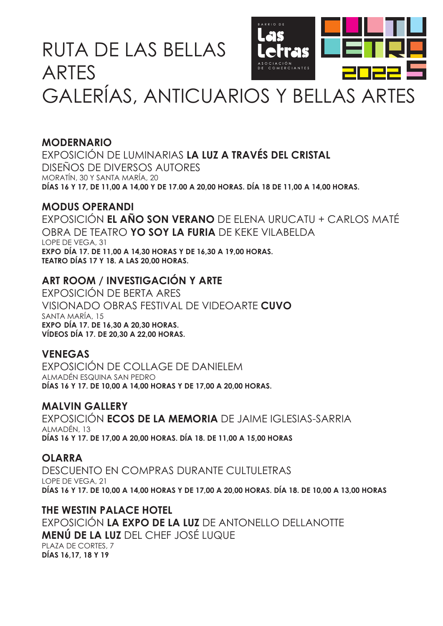### RUTA DE LAS BELLAS ARTES



## GALERÍAS, ANTICUARIOS Y BELLAS ARTES

#### **MODERNARIO**

EXPOSICIÓN DE LUMINARIAS **LA LUZ A TRAVÉS DEL CRISTAL** DISEÑOS DE DIVERSOS AUTORES MORATÍN, 30 Y SANTA MARÍA, 20 **DÍAS 16 Y 17, DE 11,00 A 14,00 Y DE 17.00 A 20,00 HORAS. DÍA 18 DE 11,00 A 14,00 HORAS.**

#### **MODUS OPERANDI**

EXPOSICIÓN **EL AÑO SON VERANO** DE ELENA URUCATU + CARLOS MATÉ OBRA DE TEATRO **YO SOY LA FURIA** DE KEKE VILABELDA LOPE DE VEGA, 31 **EXPO DÍA 17. DE 11,00 A 14,30 HORAS Y DE 16,30 A 19,00 HORAS. TEATRO DÍAS 17 Y 18. A LAS 20,00 HORAS.**

#### **ART ROOM / INVESTIGACIÓN Y ARTE**

EXPOSICIÓN DE BERTA ARES VISIONADO OBRAS FESTIVAL DE VIDEOARTE **CUVO** SANTA MARÍA, 15 **EXPO DÍA 17. DE 16,30 A 20,30 HORAS. VÍDEOS DÍA 17. DE 20,30 A 22,00 HORAS.**

#### **VENEGAS**

EXPOSICIÓN DE COLLAGE DE DANIELEM ALMADÉN ESQUINA SAN PEDRO **DÍAS 16 Y 17. DE 10,00 A 14,00 HORAS Y DE 17,00 A 20,00 HORAS.**

#### **MALVIN GALLERY**

EXPOSICIÓN **ECOS DE LA MEMORIA** DE JAIME IGLESIAS-SARRIA ALMADÉN, 13 **DÍAS 16 Y 17. DE 17,00 A 20,00 HORAS. DÍA 18. DE 11,00 A 15,00 HORAS**

#### **OLARRA**

DESCUENTO EN COMPRAS DURANTE CULTULETRAS LOPE DE VEGA, 21 **DÍAS 16 Y 17. DE 10,00 A 14,00 HORAS Y DE 17,00 A 20,00 HORAS. DÍA 18. DE 10,00 A 13,00 HORAS**

#### **THE WESTIN PALACE HOTEL**

EXPOSICIÓN **LA EXPO DE LA LUZ** DE ANTONELLO DELLANOTTE **MENÚ DE LA LUZ** DEL CHEF JOSÉ LUQUE PLAZA DE CORTES, 7 **DÍAS 16,17, 18 Y 19**